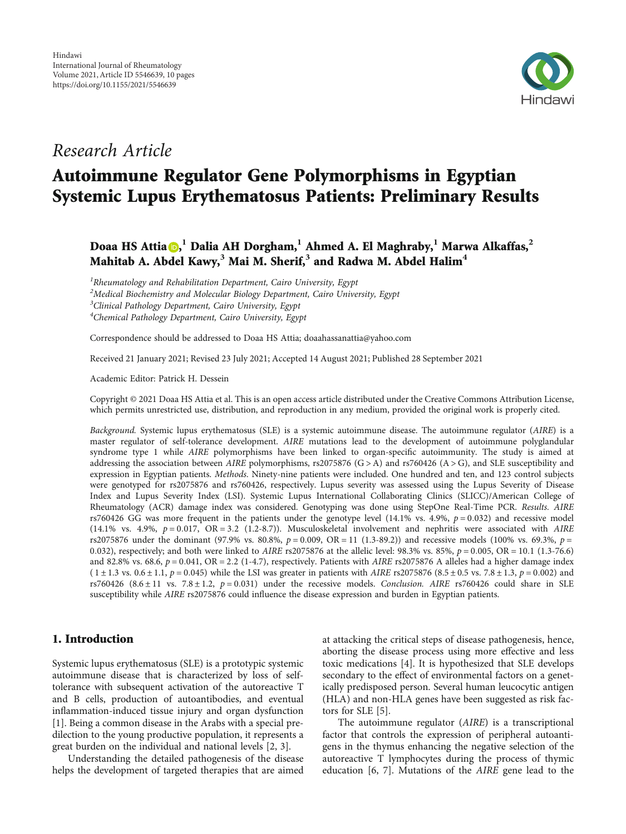

# Research Article

# Autoimmune Regulator Gene Polymorphisms in Egyptian Systemic Lupus Erythematosus Patients: Preliminary Results

Doaa HS Attia , **<sup>1</sup>** Dalia AH Dorgham,**<sup>1</sup>** Ahmed A. El Maghraby,**<sup>1</sup>** Marwa Alkaffas,**<sup>2</sup>** Mahitab A. Abdel Kawy,**<sup>3</sup>** Mai M. Sherif,**<sup>3</sup>** and Radwa M. Abdel Halim**<sup>4</sup>**

 ${}^{1}$ Rheumatology and Rehabilitation Department, Cairo University, Egypt  $^2$ Medical Biochemistry and Molecular Biology Department, Cairo University, Egypt <sup>3</sup>Clinical Pathology Department, Cairo University, Egypt <sup>4</sup>Chemical Pathology Department, Cairo University, Egypt

Correspondence should be addressed to Doaa HS Attia; doaahassanattia@yahoo.com

Received 21 January 2021; Revised 23 July 2021; Accepted 14 August 2021; Published 28 September 2021

Academic Editor: Patrick H. Dessein

Copyright © 2021 Doaa HS Attia et al. This is an open access article distributed under the [Creative Commons Attribution License](https://creativecommons.org/licenses/by/4.0/), which permits unrestricted use, distribution, and reproduction in any medium, provided the original work is properly cited.

Background. Systemic lupus erythematosus (SLE) is a systemic autoimmune disease. The autoimmune regulator (AIRE) is a master regulator of self-tolerance development. AIRE mutations lead to the development of autoimmune polyglandular syndrome type 1 while AIRE polymorphisms have been linked to organ-specific autoimmunity. The study is aimed at addressing the association between AIRE polymorphisms, rs2075876  $(G > A)$  and rs760426  $(A > G)$ , and SLE susceptibility and expression in Egyptian patients. Methods. Ninety-nine patients were included. One hundred and ten, and 123 control subjects were genotyped for rs2075876 and rs760426, respectively. Lupus severity was assessed using the Lupus Severity of Disease Index and Lupus Severity Index (LSI). Systemic Lupus International Collaborating Clinics (SLICC)/American College of Rheumatology (ACR) damage index was considered. Genotyping was done using StepOne Real-Time PCR. Results. AIRE rs760426 GG was more frequent in the patients under the genotype level (14.1% vs. 4.9%, *p* = 0*:*032) and recessive model  $(14.1\%$  vs.  $4.9\%$ ,  $p = 0.017$ ,  $OR = 3.2$   $(1.2-8.7)$ ). Musculoskeletal involvement and nephritis were associated with AIRE rs2075876 under the dominant (97.9% vs. 80.8%, *p* = 0*:*009, OR = 11 (1.3-89.2)) and recessive models (100% vs. 69.3%, *p* = 0*:*032), respectively; and both were linked to AIRE rs2075876 at the allelic level: 98.3% vs. 85%, *p* = 0*:*005, OR = 10*:*1 (1.3-76.6) and 82.8% vs. 68.6,  $p = 0.041$ , OR = 2.2 (1-4.7), respectively. Patients with *AIRE* rs2075876 A alleles had a higher damage index  $(1 \pm 1.3 \text{ vs. } 0.6 \pm 1.1, p = 0.045)$  while the LSI was greater in patients with *AIRE* rs2075876 (8.5  $\pm$  0.5 vs. 7.8  $\pm$  1.3,  $p = 0.002$ ) and rs760426 ( $8.6 \pm 11$  vs.  $7.8 \pm 1.2$ ,  $p = 0.031$ ) under the recessive models. Conclusion. AIRE rs760426 could share in SLE susceptibility while AIRE rs2075876 could influence the disease expression and burden in Egyptian patients.

### 1. Introduction

Systemic lupus erythematosus (SLE) is a prototypic systemic autoimmune disease that is characterized by loss of selftolerance with subsequent activation of the autoreactive T and B cells, production of autoantibodies, and eventual inflammation-induced tissue injury and organ dysfunction [\[1](#page-7-0)]. Being a common disease in the Arabs with a special predilection to the young productive population, it represents a great burden on the individual and national levels [[2](#page-7-0), [3](#page-7-0)].

Understanding the detailed pathogenesis of the disease helps the development of targeted therapies that are aimed

at attacking the critical steps of disease pathogenesis, hence, aborting the disease process using more effective and less toxic medications [\[4](#page-7-0)]. It is hypothesized that SLE develops secondary to the effect of environmental factors on a genetically predisposed person. Several human leucocytic antigen (HLA) and non-HLA genes have been suggested as risk factors for SLE [[5\]](#page-7-0).

The autoimmune regulator (AIRE) is a transcriptional factor that controls the expression of peripheral autoantigens in the thymus enhancing the negative selection of the autoreactive T lymphocytes during the process of thymic education [[6,](#page-7-0) [7\]](#page-8-0). Mutations of the AIRE gene lead to the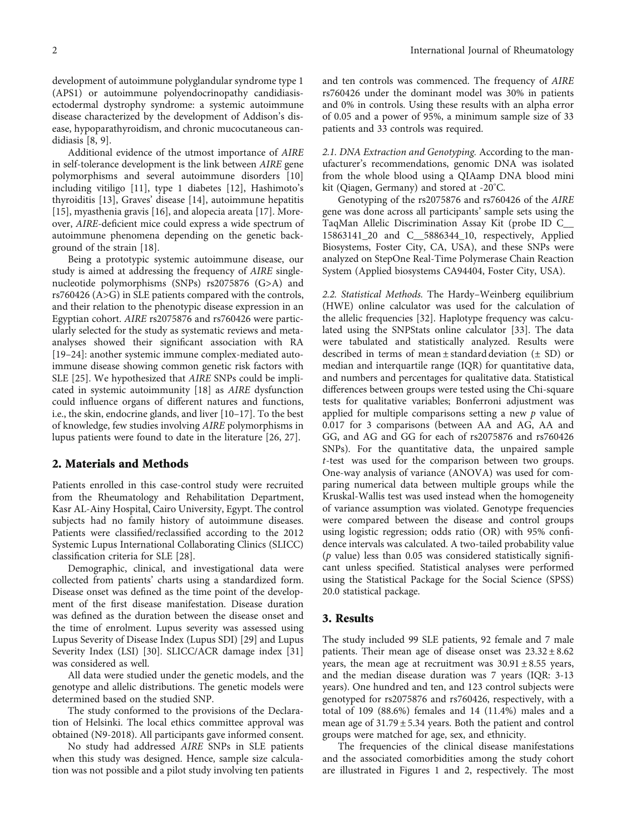development of autoimmune polyglandular syndrome type 1 (APS1) or autoimmune polyendocrinopathy candidiasisectodermal dystrophy syndrome: a systemic autoimmune disease characterized by the development of Addison's disease, hypoparathyroidism, and chronic mucocutaneous candidiasis [\[8](#page-8-0), [9](#page-8-0)].

Additional evidence of the utmost importance of AIRE in self-tolerance development is the link between AIRE gene polymorphisms and several autoimmune disorders [[10\]](#page-8-0) including vitiligo [\[11\]](#page-8-0), type 1 diabetes [\[12\]](#page-8-0), Hashimoto's thyroiditis [[13\]](#page-8-0), Graves' disease [[14\]](#page-8-0), autoimmune hepatitis [\[15\]](#page-8-0), myasthenia gravis [\[16](#page-8-0)], and alopecia areata [\[17\]](#page-8-0). Moreover, AIRE-deficient mice could express a wide spectrum of autoimmune phenomena depending on the genetic background of the strain [[18](#page-8-0)].

Being a prototypic systemic autoimmune disease, our study is aimed at addressing the frequency of AIRE singlenucleotide polymorphisms (SNPs) rs2075876 (G>A) and rs760426 (A>G) in SLE patients compared with the controls, and their relation to the phenotypic disease expression in an Egyptian cohort. AIRE rs2075876 and rs760426 were particularly selected for the study as systematic reviews and metaanalyses showed their significant association with RA [\[19](#page-8-0)–[24\]](#page-8-0): another systemic immune complex-mediated autoimmune disease showing common genetic risk factors with SLE [[25\]](#page-8-0). We hypothesized that AIRE SNPs could be implicated in systemic autoimmunity [[18](#page-8-0)] as AIRE dysfunction could influence organs of different natures and functions, i.e., the skin, endocrine glands, and liver [[10](#page-8-0)–[17\]](#page-8-0). To the best of knowledge, few studies involving AIRE polymorphisms in lupus patients were found to date in the literature [[26, 27](#page-8-0)].

#### 2. Materials and Methods

Patients enrolled in this case-control study were recruited from the Rheumatology and Rehabilitation Department, Kasr AL-Ainy Hospital, Cairo University, Egypt. The control subjects had no family history of autoimmune diseases. Patients were classified/reclassified according to the 2012 Systemic Lupus International Collaborating Clinics (SLICC) classification criteria for SLE [[28](#page-8-0)].

Demographic, clinical, and investigational data were collected from patients' charts using a standardized form. Disease onset was defined as the time point of the development of the first disease manifestation. Disease duration was defined as the duration between the disease onset and the time of enrolment. Lupus severity was assessed using Lupus Severity of Disease Index (Lupus SDI) [[29](#page-8-0)] and Lupus Severity Index (LSI) [\[30](#page-8-0)]. SLICC/ACR damage index [[31\]](#page-8-0) was considered as well.

All data were studied under the genetic models, and the genotype and allelic distributions. The genetic models were determined based on the studied SNP.

The study conformed to the provisions of the Declaration of Helsinki. The local ethics committee approval was obtained (N9-2018). All participants gave informed consent.

No study had addressed AIRE SNPs in SLE patients when this study was designed. Hence, sample size calculation was not possible and a pilot study involving ten patients and ten controls was commenced. The frequency of AIRE rs760426 under the dominant model was 30% in patients and 0% in controls. Using these results with an alpha error of 0.05 and a power of 95%, a minimum sample size of 33 patients and 33 controls was required.

2.1. DNA Extraction and Genotyping. According to the manufacturer's recommendations, genomic DNA was isolated from the whole blood using a QIAamp DNA blood mini kit (Qiagen, Germany) and stored at -20° C.

Genotyping of the rs2075876 and rs760426 of the AIRE gene was done across all participants' sample sets using the TaqMan Allelic Discrimination Assay Kit (probe ID C\_\_ 15863141\_20 and C\_\_5886344\_10, respectively, Applied Biosystems, Foster City, CA, USA), and these SNPs were analyzed on StepOne Real-Time Polymerase Chain Reaction System (Applied biosystems CA94404, Foster City, USA).

2.2. Statistical Methods. The Hardy–Weinberg equilibrium (HWE) online calculator was used for the calculation of the allelic frequencies [\[32\]](#page-8-0). Haplotype frequency was calculated using the SNPStats online calculator [\[33\]](#page-8-0). The data were tabulated and statistically analyzed. Results were described in terms of mean  $\pm$  standard deviation ( $\pm$  SD) or median and interquartile range (IQR) for quantitative data, and numbers and percentages for qualitative data. Statistical differences between groups were tested using the Chi-square tests for qualitative variables; Bonferroni adjustment was applied for multiple comparisons setting a new *p* value of 0.017 for 3 comparisons (between AA and AG, AA and GG, and AG and GG for each of rs2075876 and rs760426 SNPs). For the quantitative data, the unpaired sample *t*-test was used for the comparison between two groups. One-way analysis of variance (ANOVA) was used for comparing numerical data between multiple groups while the Kruskal-Wallis test was used instead when the homogeneity of variance assumption was violated. Genotype frequencies were compared between the disease and control groups using logistic regression; odds ratio (OR) with 95% confidence intervals was calculated. A two-tailed probability value (*p* value) less than 0.05 was considered statistically significant unless specified. Statistical analyses were performed using the Statistical Package for the Social Science (SPSS) 20.0 statistical package.

#### 3. Results

The study included 99 SLE patients, 92 female and 7 male patients. Their mean age of disease onset was  $23.32 \pm 8.62$ years, the mean age at recruitment was  $30.91 \pm 8.55$  years, and the median disease duration was 7 years (IQR: 3-13 years). One hundred and ten, and 123 control subjects were genotyped for rs2075876 and rs760426, respectively, with a total of 109 (88.6%) females and 14 (11.4%) males and a mean age of 31.79 ± 5.34 years. Both the patient and control groups were matched for age, sex, and ethnicity.

The frequencies of the clinical disease manifestations and the associated comorbidities among the study cohort are illustrated in Figures [1](#page-2-0) and [2](#page-2-0), respectively. The most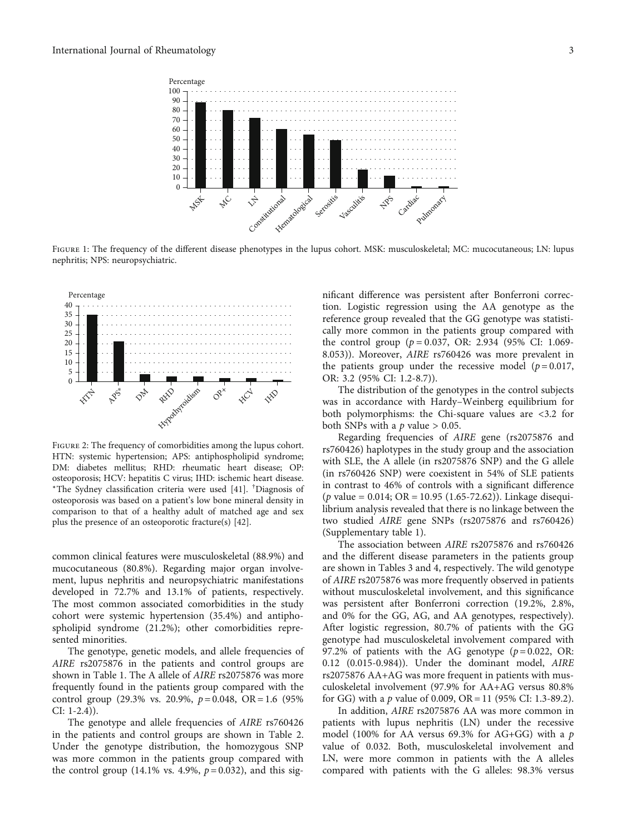<span id="page-2-0"></span>

FIGURE 1: The frequency of the different disease phenotypes in the lupus cohort. MSK: musculoskeletal; MC: mucocutaneous; LN: lupus nephritis; NPS: neuropsychiatric.



FIGURE 2: The frequency of comorbidities among the lupus cohort. HTN: systemic hypertension; APS: antiphospholipid syndrome; DM: diabetes mellitus; RHD: rheumatic heart disease; OP: osteoporosis; HCV: hepatitis C virus; IHD: ischemic heart disease. <sup>∗</sup>The Sydney classification criteria were used [\[41\]](#page-9-0). † Diagnosis of osteoporosis was based on a patient's low bone mineral density in comparison to that of a healthy adult of matched age and sex plus the presence of an osteoporotic fracture(s) [\[42\]](#page-9-0).

common clinical features were musculoskeletal (88.9%) and mucocutaneous (80.8%). Regarding major organ involvement, lupus nephritis and neuropsychiatric manifestations developed in 72.7% and 13.1% of patients, respectively. The most common associated comorbidities in the study cohort were systemic hypertension (35.4%) and antiphospholipid syndrome (21.2%); other comorbidities represented minorities.

The genotype, genetic models, and allele frequencies of AIRE rs2075876 in the patients and control groups are shown in Table [1](#page-3-0). The A allele of AIRE rs2075876 was more frequently found in the patients group compared with the control group (29.3% vs. 20.9%, *p* = 0.048, OR = 1.6 (95% CI: 1-2.4)).

The genotype and allele frequencies of AIRE rs760426 in the patients and control groups are shown in Table [2.](#page-3-0) Under the genotype distribution, the homozygous SNP was more common in the patients group compared with the control group (14.1% vs. 4.9%,  $p = 0.032$ ), and this significant difference was persistent after Bonferroni correction. Logistic regression using the AA genotype as the reference group revealed that the GG genotype was statistically more common in the patients group compared with the control group (*p* = 0*:*037, OR: 2.934 (95% CI: 1.069- 8.053)). Moreover, AIRE rs760426 was more prevalent in the patients group under the recessive model  $(p=0.017,$ OR: 3.2 (95% CI: 1.2-8.7)).

The distribution of the genotypes in the control subjects was in accordance with Hardy–Weinberg equilibrium for both polymorphisms: the Chi-square values are <3.2 for both SNPs with a  $p$  value  $> 0.05$ .

Regarding frequencies of AIRE gene (rs2075876 and rs760426) haplotypes in the study group and the association with SLE, the A allele (in rs2075876 SNP) and the G allele (in rs760426 SNP) were coexistent in 54% of SLE patients in contrast to 46% of controls with a significant difference (*p* value = 0.014; OR = 10*:*95 (1.65-72.62)). Linkage disequilibrium analysis revealed that there is no linkage between the two studied AIRE gene SNPs (rs2075876 and rs760426) (Supplementary table [1\)](#page-7-0).

The association between AIRE rs2075876 and rs760426 and the different disease parameters in the patients group are shown in Tables [3](#page-4-0) and [4](#page-5-0), respectively. The wild genotype of AIRE rs2075876 was more frequently observed in patients without musculoskeletal involvement, and this significance was persistent after Bonferroni correction (19.2%, 2.8%, and 0% for the GG, AG, and AA genotypes, respectively). After logistic regression, 80.7% of patients with the GG genotype had musculoskeletal involvement compared with 97.2% of patients with the AG genotype  $(p=0.022, \text{ OR:})$ 0.12 (0.015-0.984)). Under the dominant model, AIRE rs2075876 AA+AG was more frequent in patients with musculoskeletal involvement (97.9% for AA+AG versus 80.8% for GG) with a *p* value of 0.009, OR = 11 (95% CI: 1.3-89.2).

In addition, AIRE rs2075876 AA was more common in patients with lupus nephritis (LN) under the recessive model (100% for AA versus 69.3% for AG+GG) with a *p* value of 0.032. Both, musculoskeletal involvement and LN, were more common in patients with the A alleles compared with patients with the G alleles: 98.3% versus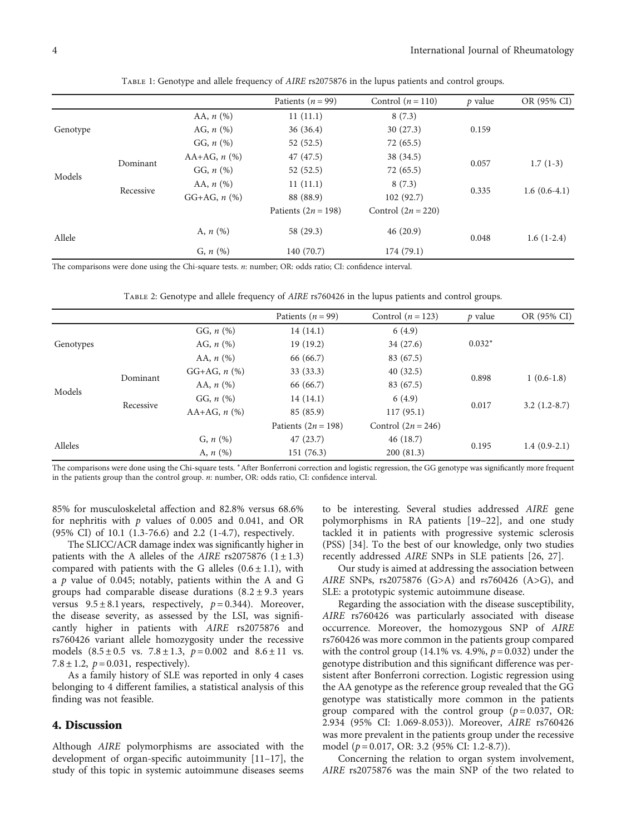<span id="page-3-0"></span>

|          |           |                     | Patients ( $n = 99$ ) | Control $(n = 110)$  | <i>p</i> value | OR (95% CI)    |
|----------|-----------|---------------------|-----------------------|----------------------|----------------|----------------|
|          |           | AA, $n$ $(\%)$      | 11(11.1)              | 8(7.3)               |                |                |
| Genotype |           | AG, $n$ $(\%)$      | 36(36.4)              | 30(27.3)             | 0.159          |                |
|          |           | GG, $n$ (%)         | 52(52.5)              | 72(65.5)             |                |                |
|          |           | AA+AG, $n$ (%)      | 47(47.5)              | 38 (34.5)            |                |                |
|          | Dominant  | GG, $n$ (%)         | 52(52.5)              | 72(65.5)             | 0.057          | $1.7(1-3)$     |
| Models   |           | AA, $n$ $(\%)$      | 11(11.1)              | 8(7.3)               |                |                |
|          | Recessive | $GG + AG$ , $n$ (%) | 88 (88.9)             | 102(92.7)            | 0.335          | $1.6(0.6-4.1)$ |
|          |           |                     | Patients $(2n = 198)$ | Control $(2n = 220)$ |                |                |
| Allele   |           | A, $n$ (%)          | 58 (29.3)             | 46(20.9)             | 0.048          | $1.6(1-2.4)$   |
|          |           | $G, n (\%)$         | 140 (70.7)            | 174(79.1)            |                |                |

Table 1: Genotype and allele frequency of AIRE rs2075876 in the lupus patients and control groups.

The comparisons were done using the Chi-square tests. *n*: number; OR: odds ratio; CI: confidence interval.

| TABLE 2: Genotype and allele frequency of AIRE rs760426 in the lupus patients and control groups. |  |  |  |
|---------------------------------------------------------------------------------------------------|--|--|--|
|                                                                                                   |  |  |  |

|           |           |                        | Patients ( $n = 99$ ) | Control $(n = 123)$  | $p$ value | OR (95% CI)    |
|-----------|-----------|------------------------|-----------------------|----------------------|-----------|----------------|
|           |           | GG, $n$ (%)            | 14(14.1)              | 6(4.9)               |           |                |
| Genotypes |           | AG, $n$ $(\%)$         | 19(19.2)              | 34(27.6)             | $0.032*$  |                |
|           |           | AA, $n$ $(\%)$         | 66 (66.7)             | 83 (67.5)            |           |                |
|           |           | $GG + AG$ , $n$ $(\%)$ | 33(33.3)              | 40(32.5)             |           |                |
| Models    | Dominant  | AA, $n$ $(\%)$         | 66 (66.7)             | 83 (67.5)            | 0.898     | $1(0.6-1.8)$   |
|           |           | GG, $n$ (%)            | 14(14.1)              | 6(4.9)               |           |                |
|           | Recessive | $AA+AG, n$ (%)         | 85 (85.9)             | 117(95.1)            | 0.017     | $3.2(1.2-8.7)$ |
|           |           |                        | Patients $(2n = 198)$ | Control $(2n = 246)$ |           |                |
|           |           | $G, n (\%)$            | 47(23.7)              | 46(18.7)             |           |                |
| Alleles   |           | A, $n$ (%)             | 151 (76.3)            | 200(81.3)            | 0.195     | $1.4(0.9-2.1)$ |

The comparisons were done using the Chi-square tests. \*After Bonferroni correction and logistic regression, the GG genotype was significantly more frequent in the patients group than the control group. *n*: number, OR: odds ratio, CI: confidence interval.

85% for musculoskeletal affection and 82.8% versus 68.6% for nephritis with *p* values of 0.005 and 0.041, and OR (95% CI) of 10.1 (1.3-76.6) and 2.2 (1-4.7), respectively.

The SLICC/ACR damage index was significantly higher in patients with the A alleles of the AIRE rs2075876  $(1 \pm 1.3)$ compared with patients with the G alleles  $(0.6 \pm 1.1)$ , with a *p* value of 0.045; notably, patients within the A and G groups had comparable disease durations (8*:*2±9*:*3 years versus  $9.5 \pm 8.1$  years, respectively,  $p = 0.344$ ). Moreover, the disease severity, as assessed by the LSI, was significantly higher in patients with AIRE rs2075876 and rs760426 variant allele homozygosity under the recessive models  $(8.5 \pm 0.5 \text{ vs. } 7.8 \pm 1.3, p = 0.002 \text{ and } 8.6 \pm 11 \text{ vs. }$ 7.8  $\pm$  1.2,  $p = 0.031$ , respectively).

As a family history of SLE was reported in only 4 cases belonging to 4 different families, a statistical analysis of this finding was not feasible.

#### 4. Discussion

Although AIRE polymorphisms are associated with the development of organ-specific autoimmunity [\[11](#page-8-0)–[17](#page-8-0)], the study of this topic in systemic autoimmune diseases seems

to be interesting. Several studies addressed AIRE gene polymorphisms in RA patients [\[19](#page-8-0)–[22](#page-8-0)], and one study tackled it in patients with progressive systemic sclerosis (PSS) [[34](#page-8-0)]. To the best of our knowledge, only two studies recently addressed AIRE SNPs in SLE patients [\[26, 27\]](#page-8-0).

Our study is aimed at addressing the association between AIRE SNPs, rs2075876 (G>A) and rs760426 (A>G), and SLE: a prototypic systemic autoimmune disease.

Regarding the association with the disease susceptibility, AIRE rs760426 was particularly associated with disease occurrence. Moreover, the homozygous SNP of AIRE rs760426 was more common in the patients group compared with the control group (14.1% vs. 4.9%, *p* = 0.032) under the genotype distribution and this significant difference was persistent after Bonferroni correction. Logistic regression using the AA genotype as the reference group revealed that the GG genotype was statistically more common in the patients group compared with the control group  $(p=0.037, \text{ OR:})$ 2.934 (95% CI: 1.069-8.053)). Moreover, AIRE rs760426 was more prevalent in the patients group under the recessive model (*p* = 0.017, OR: 3.2 (95% CI: 1.2-8.7)).

Concerning the relation to organ system involvement, AIRE rs2075876 was the main SNP of the two related to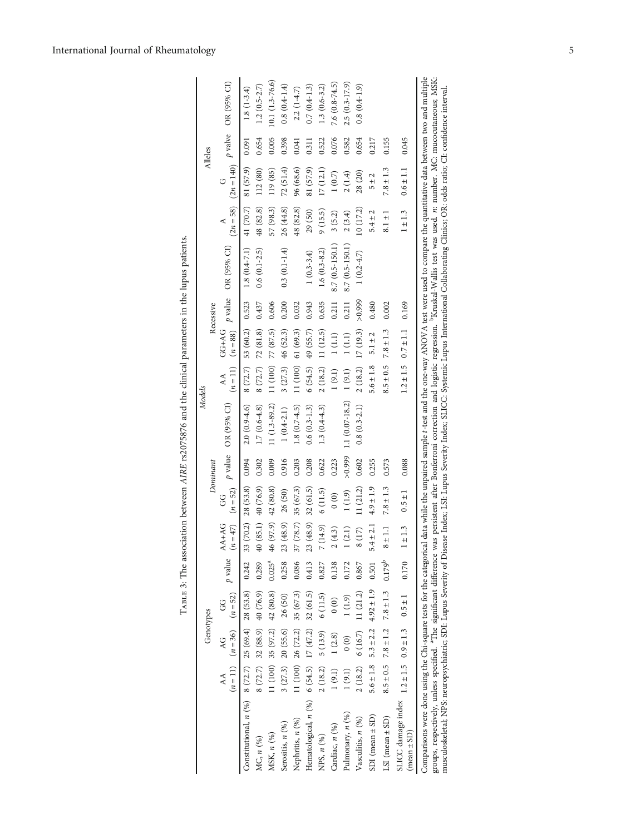|                                                                                                                                                                                                                                                                                                                                                                                                                                                                                                                                                                                                                                                                   |               |                                           |                              |             |                             |                                        |          |                                                                                                                                  | Models        |                             |           |                                                                                   |                         |               | Alleles |                                                     |
|-------------------------------------------------------------------------------------------------------------------------------------------------------------------------------------------------------------------------------------------------------------------------------------------------------------------------------------------------------------------------------------------------------------------------------------------------------------------------------------------------------------------------------------------------------------------------------------------------------------------------------------------------------------------|---------------|-------------------------------------------|------------------------------|-------------|-----------------------------|----------------------------------------|----------|----------------------------------------------------------------------------------------------------------------------------------|---------------|-----------------------------|-----------|-----------------------------------------------------------------------------------|-------------------------|---------------|---------|-----------------------------------------------------|
|                                                                                                                                                                                                                                                                                                                                                                                                                                                                                                                                                                                                                                                                   |               | Genotypes                                 |                              |             |                             |                                        | Dominant |                                                                                                                                  |               |                             | Recessive |                                                                                   |                         |               |         |                                                     |
|                                                                                                                                                                                                                                                                                                                                                                                                                                                                                                                                                                                                                                                                   |               |                                           |                              |             |                             |                                        |          | AA AG GG $p$ value AA+AG GG $p$ value OR (95% CI)<br>( $n=11$ ) ( $n=50$ ) $p$ value ( $n=47$ ) ( $n=52$ ) $p$ value OR (95% CI) |               |                             |           | AA GG+AG $p$ value OR (95% CI)<br>( $n = 11$ ) ( $n = 88$ ) $p$ value OR (95% CI) |                         |               |         | $(2n = 58)$ $(2n = 140)$ <i>P</i> valve OR (95% CI) |
| Constitutional, $n(%)$ 8 (72.7) 25 (69.4) 28 (53.8)                                                                                                                                                                                                                                                                                                                                                                                                                                                                                                                                                                                                               |               |                                           |                              |             | $0.242$ 33 (70.2) 28 (53.8) |                                        | 0.094    | $2.0(0.9-4.6)$                                                                                                                   |               | $8(72.7)$ 53 (60.2) 0.523   |           | $1.8(0.4-7.1)$                                                                    | 41 $(70.7)$ 81 $(57.9)$ |               | 0.091   | $1.8(1-3.4)$                                        |
| MC, n (%)                                                                                                                                                                                                                                                                                                                                                                                                                                                                                                                                                                                                                                                         |               | $8(72.7)$ 32 $(88.9)$ 40 $(76.9)$         |                              | 0.289       | 40 (85.1) 40 (76.9)         |                                        | 0.302    | $1.7(0.6-4.8)$                                                                                                                   |               | $8(72.7)$ 72 (81.8)         | 0.437     | $0.6(0.1 - 2.5)$                                                                  | 48 (82.8)               | 112 (80)      | 0.654   | $1.2(0.5-2.7)$                                      |
| MSK, n (%)                                                                                                                                                                                                                                                                                                                                                                                                                                                                                                                                                                                                                                                        | 11 (100)      | 35 (97.2) 42 (80.8)                       |                              | $0.025^{a}$ | 46 (97.9) 42 (80.8)         |                                        | 0.009    | $11(1.3-89.2)$                                                                                                                   | 11(100)       | 77 (87.5)                   | 0.606     |                                                                                   | 57 (98.3)               | 119 (85)      | 0.005   | $10.1(1.3-76.6)$                                    |
| Serositis, n (%)                                                                                                                                                                                                                                                                                                                                                                                                                                                                                                                                                                                                                                                  |               | $3(27.3)$ 20 (55.6)                       | 26 (50)                      | 0.258       | 23(                         | $(48.9)$ 26 (50)                       | 0.916    | $1(0.4 - 2.1)$                                                                                                                   | 3(27.3)       | 46 (52.3)                   | 0.200     | $0.3(0.1 - 1.4)$                                                                  | 26 (44.8)               | 72(51.4)      | 0.398   | $0.8(0.4 - 1.4)$                                    |
| Nephritis, n (%)                                                                                                                                                                                                                                                                                                                                                                                                                                                                                                                                                                                                                                                  |               | 11 $(100)$ 26 $(72.2)$                    | 35 (67.3)                    | 0.086       | 37(                         | $(78.7)$ 35 $(67.3)$                   | 0.203    | $1.8(0.7 - 4.5)$                                                                                                                 | 11 (100)      | 61(69.3)                    | 0.032     |                                                                                   | 48 (82.8)               | 96 (68.6)     | 0.041   | $2.2(1-4.7)$                                        |
| Hematological, $n(%)$ 6 (54.5) 17 (47.2) 32 (61.5)                                                                                                                                                                                                                                                                                                                                                                                                                                                                                                                                                                                                                |               |                                           |                              | 0.413       | $23(48.9)$ 32 (61.5)        |                                        | 0.208    | $0.6(0.3-1.3)$                                                                                                                   | 6(54.5)       | 49 (55.7)                   | 0.943     | $1(0.3 - 3.4)$                                                                    | 29(50)                  | 81 (57.9)     | 0.311   | $0.7(0.4-1.3)$                                      |
| NPS, n (%)                                                                                                                                                                                                                                                                                                                                                                                                                                                                                                                                                                                                                                                        |               | $2(18.2)$ 5 (13.9)                        | 6(11.5)                      | 0.827       | 14.9)<br>$\widetilde{z}$    | 6(11.5)                                | 0.622    | $1.3(0.4-4.3)$                                                                                                                   |               | $2(18.2)$ 11 (12.5)         | 0.635     | $1.6(0.3-8.2)$                                                                    | 9(15.5)                 | 17(12.1)      | 0.522   | $1.3(0.6-3.2)$                                      |
| Cardiac, n (%)                                                                                                                                                                                                                                                                                                                                                                                                                                                                                                                                                                                                                                                    |               | 1(9.1) 1(2.8)                             | (0)                          | 0.138       | 2(4.3)                      | $\begin{pmatrix} 0 \\ 0 \end{pmatrix}$ | 0.223    |                                                                                                                                  | 1(9.1)        | 1(1.1)                      | 0.211     | $8.7(0.5-150.1)$                                                                  | 3(5.2)                  | $1~(0.7)$     | 0.076   | $7.6(0.8-74.5)$                                     |
| Pulmonary, n (%)                                                                                                                                                                                                                                                                                                                                                                                                                                                                                                                                                                                                                                                  | 1(9.1)        | $\begin{matrix} 0 \\ 0 \end{matrix}$      | 1(1.9)                       | 0.172       | (2.1)                       | 1(1.9)                                 | 666.0 <  | $1.1(0.07 - 18.2)$                                                                                                               | 1(9.1)        | 1(1.1)                      | 0.211     | $8.7(0.5-150.1)$                                                                  | 2(3.4)                  | 2(1.4)        | 0.582   | $2.5(0.3-17.9)$                                     |
| Vasculitis, n (%)                                                                                                                                                                                                                                                                                                                                                                                                                                                                                                                                                                                                                                                 | 2(18.2)       | 6(16.7)                                   | 11(21.2)                     | 0.867       | (17)                        | 11(21.2)                               | 0.602    | $0.8(0.3 - 2.1)$                                                                                                                 | 2(18.2)       | 17 (19.3)                   | >0.999    | $1(0.2 - 4.7)$                                                                    | 10(17.2)                | 28 (20)       | 0.654   | $0.8(0.4-1.9)$                                      |
| $SDI$ (mean $\pm SD$ )                                                                                                                                                                                                                                                                                                                                                                                                                                                                                                                                                                                                                                            | $5.6 \pm 1.8$ |                                           | $5.3 \pm 2.2$ $4.92 \pm 1.9$ | 0.501       | $5.4 \pm 2.1$               | $4.9 \pm 1.9$                          | 0.255    |                                                                                                                                  | $5.6 \pm 1.8$ | $5.1 \pm 2$                 | 0.480     |                                                                                   | $5.4 \pm 2$             | $\frac{2}{1}$ | 0.217   |                                                     |
| LSI (mean $\pm$ SD)                                                                                                                                                                                                                                                                                                                                                                                                                                                                                                                                                                                                                                               |               | $8.5 \pm 0.5$ 7.8 $\pm$ 1.2 7.8 $\pm$ 1.3 |                              | $0.179^{b}$ | $8 \pm 1.1$                 | $7.8 \pm 1.3$                          | 0.573    |                                                                                                                                  | $8.5 \pm 0.5$ | $7.8 \pm 1.3$               | 0.002     |                                                                                   | $8.1 \pm 1$             | $7.8 \pm 1.3$ | 0.155   |                                                     |
| SLICC damage index $1.2 \pm 1.5$ 0.9 $\pm 1.3$ 0.5 $\pm 1$<br>$(\text{mean} \pm \text{SD})$                                                                                                                                                                                                                                                                                                                                                                                                                                                                                                                                                                       |               |                                           |                              | 0.170       | $1 \pm 1.3$                 | $0.5 \pm 1$                            | 0.088    |                                                                                                                                  |               | $1.2 \pm 1.5$ 0.7 $\pm$ 1.1 | 0.169     |                                                                                   | $1 \pm 1.3$             | $0.6 \pm 1.1$ | 0.045   |                                                     |
| Comparisons were done using the Chi-square tests for the categorical data while the umpaired sample <i>t</i> -test and the one-way ANOVA test were used to compare the quantitative data between two and multiple<br>groups, respectively, unless specified. <sup>a</sup> The significant difference was persistent after Bonferroni correction and logistic regression. "Kruskal-Wallis test was used. <i>n</i> : number. MC: mucocutaneous, MSK:<br>musculoskeletal; NPS: neuropsychiatric; SDI: Lupus Severity of Disease Index; LSI: Lupus Severity Index; SLICC: Systemic Lupus International Collaborating Clinics; OR: odds ratio; CI: confidence interval |               |                                           |                              |             |                             |                                        |          |                                                                                                                                  |               |                             |           |                                                                                   |                         |               |         |                                                     |

<span id="page-4-0"></span>International Journal of Rheumatology

Table 3: The association between AIRE rs2075876 and the clinical parameters in the lupus patients.

TABLE 3: The association between AIRE rs2075876 and the clinical parameters in the lupus patients.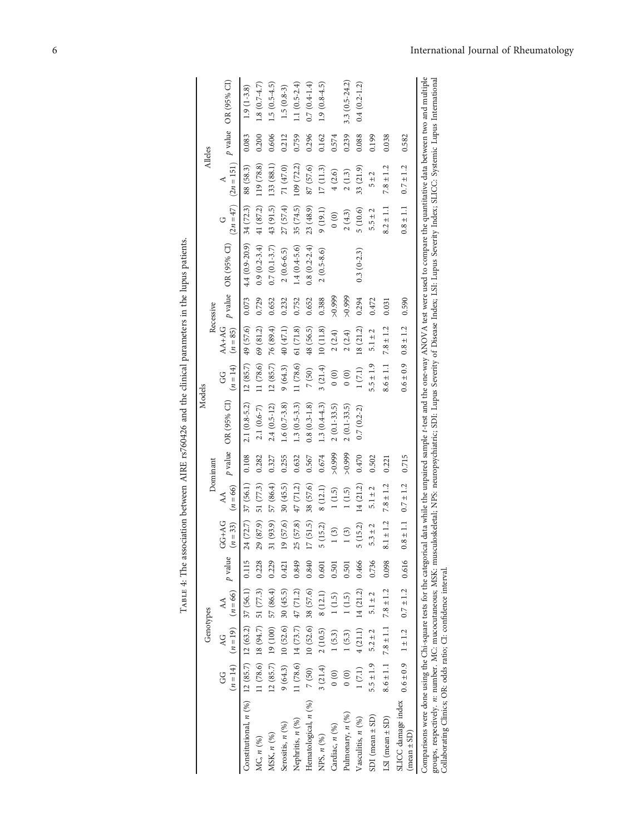<span id="page-5-0"></span>

|                                                                                                                                                                                                                                                                                                                                                 |                                        |                                           |             |                  |                                        |                      |          | Models                                                                                                                               |                                        |                       |           |                           |                          |               |       |                                                     |
|-------------------------------------------------------------------------------------------------------------------------------------------------------------------------------------------------------------------------------------------------------------------------------------------------------------------------------------------------|----------------------------------------|-------------------------------------------|-------------|------------------|----------------------------------------|----------------------|----------|--------------------------------------------------------------------------------------------------------------------------------------|----------------------------------------|-----------------------|-----------|---------------------------|--------------------------|---------------|-------|-----------------------------------------------------|
|                                                                                                                                                                                                                                                                                                                                                 |                                        | Genotypes                                 |             |                  |                                        |                      | Dominant |                                                                                                                                      |                                        |                       | Recessive |                           |                          | Alleles       |       |                                                     |
|                                                                                                                                                                                                                                                                                                                                                 | G                                      | $(n = 14)$ $(n = 19)$ $(n = 66)$<br>Q     | AA          | $\emph{p}$ value | $GG+AG$<br>$(n=33)$                    | $(n = 66)$<br>AA     |          | p value OR (95% CI)                                                                                                                  | $(n = 14)$<br>GG                       | $AA+AG$<br>$(n = 85)$ |           | p value OR (95% CI)       |                          |               |       | $(2n = 47)$ $(2n = 151)$ <i>p</i> value OR (95% CI) |
| Constitutional, $n(% )$ 12 (85.7) 12 (63.2) 37 (56.1) 0.115                                                                                                                                                                                                                                                                                     |                                        |                                           |             |                  | 24 (72.7)                              | 37 (56.1)            | 0.108    | $2.1(0.8-5.2)$                                                                                                                       | $12(85.7)$ 49 (57.6)                   |                       | 0.073     | $4.4(0.9-20.9)$ 34 (72.3) |                          | 88 (58.3)     | 0.083 | $1.9(1-3.8)$                                        |
| MC, n (%)                                                                                                                                                                                                                                                                                                                                       |                                        | $11(78.6)$ 18 (94.7) 51 (77.3) 0.228      |             |                  | (87.9)<br>29                           | 51 (77.3)            | 0.282    | $2.1(0.6-7)$                                                                                                                         | 11 (78.6)                              | 69 (81.2)             | 0.729     | $0.9(0.2 - 3.4)$          | 41 $(87.2)$ 119 $(78.8)$ |               | 0.200 | $1.8(0.7 - 4.7)$                                    |
| MSK, n (%)                                                                                                                                                                                                                                                                                                                                      |                                        | $12(85.7)$ 19 (100) 57 (86.4)             |             | 0.229            | (93.9)<br>$\overline{31}$              | 57 (86.4)            | 0.327    | $2.4(0.5-12)$                                                                                                                        | 12(85.7)                               | 76 (89.4)             | 0.652     | $0.7(0.1 - 3.7)$          | 43 (91.5)                | 133 (88.1)    | 0.606 | $1.5(0.5-4.5)$                                      |
| Serositis, n (%)                                                                                                                                                                                                                                                                                                                                |                                        | $9(64.3)$ 10 (52.6) 30 (45.5)             |             | 0.421            | $19(57.6)$ 30 (45.5)                   |                      | 0.255    | $1.6(0.7-3.8)$                                                                                                                       | 9(64.3)                                | 40 (47.1)             | 0.232     | $2(0.6-6.5)$              | 27 (57.4)                | 71 (47.0)     | 0.212 | $1.5(0.8-3)$                                        |
| Nephritis, $n(%)$                                                                                                                                                                                                                                                                                                                               |                                        | $11(78.6)$ $14(73.7)$ $47(71.2)$          |             | 0.849            | 25                                     | $(57.8)$ 47 $(71.2)$ | 0.632    | $1.3(0.5-3.3)$                                                                                                                       | 11 (78.6)                              | 61(71.8)              | 0.752     | $1.4(0.4 - 5.6)$          | 35 (74.5)                | 109(72.2)     | 0.759 | 1.1 $(0.5 - 2.4)$                                   |
| Hematological, n (%)                                                                                                                                                                                                                                                                                                                            |                                        | $7(50)$ 10 $(52.6)$ 38 $(57.6)$           |             | 0.840            | (51.5)<br>$\overline{17}$              | 38 (57.6)            | 0.567    | $0.8(0.3-1.8)$                                                                                                                       | 7(50)                                  | 48 (56.5)             | 0.652     | $0.8(0.2 - 2.4)$          | 23 (48.9)                | 87 (57.6)     | 0.296 | $0.7(0.4-1.4)$                                      |
| NPS, n (%)                                                                                                                                                                                                                                                                                                                                      | 3(21.4)                                | 2(10.5)                                   | 8(12.1)     | 0.601            | 5(15.2)                                | 8(12.1)              | 0.674    | $1.3(0.4 - 4.3)$                                                                                                                     | 3(21.4)                                | 10(11.8)              | 0.388     | $2(0.5 - 8.6)$            | 9(19.1)                  | 17(11.3)      | 0.162 | $1.9(0.8-4.5)$                                      |
| Cardiac, n (%)                                                                                                                                                                                                                                                                                                                                  | $\begin{pmatrix} 0 \\ 0 \end{pmatrix}$ | 1(5.3)                                    | 1(1.5)      | 0.501            | $\binom{3}{2}$                         | 1(1.5)               | > 0.999  | $2(0.1 - 33.5)$                                                                                                                      | $\begin{pmatrix} 0 \\ 0 \end{pmatrix}$ | 2(2.4)                | > 0.999   |                           | 0(0)                     | 4(2.6)        | 0.574 |                                                     |
| Pulmonary, n (%)                                                                                                                                                                                                                                                                                                                                | $\begin{matrix} 0 \\ 0 \end{matrix}$   | 1(5.3)                                    | 1(1.5)      | 0.501            | 1(3)                                   | 1(1.5)               | >0.999   | $2(0.1 - 33.5)$                                                                                                                      | 0(0)                                   | 2(2.4)                | > 0.999   |                           | 2(4.3)                   | 2(1.3)        | 0.239 | 3.3 $(0.5 - 24.2)$                                  |
| Vasculitis, $n\; ( \%)$                                                                                                                                                                                                                                                                                                                         | 1(7.1)                                 | 4(21.1)                                   | 14 (21.2)   | 0.466            | (15.2)<br>τņ                           | 14(21.2)             | 0.470    | $0.7(0.2-2)$                                                                                                                         | 1(7.1)                                 | 18 (21.2)             | 0.294     | $0.3(0-2.3)$              | 5(10.6)                  | 33 (21.9)     | 0.088 | $0.4(0.2 - 1.2)$                                    |
| $SDI$ (mean $\pm SD$ )                                                                                                                                                                                                                                                                                                                          | $5 + 1.9$                              | $5.2 \pm 2$                               | $5.1 \pm 2$ | 0.736            | $.3 \pm 2$<br>ທ່                       | $5.1 \pm 2$          | 0.502    |                                                                                                                                      | $5 + 1.9$                              | $5.1 \pm 2$           | 0.472     |                           | $5.5 \pm 2$              | $5 + 2$       | 0.199 |                                                     |
| LSI (mean $\pm$ SD)                                                                                                                                                                                                                                                                                                                             |                                        | $8.6 \pm 1.1$ 7.8 $\pm$ 1.1 7.8 $\pm$ 1.2 |             | 0.098            | ±1.2<br>$\overline{\phantom{0}}^{8.1}$ | $7.8 \pm 1.2$        | 0.221    |                                                                                                                                      | $8.6 \pm 1.1$                          | $7.8 \pm 1.2$         | 0.031     |                           | $8.2 \pm 1.1$            | $7.8 \pm 1.2$ | 0.038 |                                                     |
| SLICC damage index $0.6 \pm 0.9$ 1 $\pm$ 1.2 $0.7 \pm 1.2$ 0.616<br>$(\text{mean} \pm \text{SD})$                                                                                                                                                                                                                                               |                                        |                                           |             |                  | $\pm$ 1.1<br>$\frac{8}{1}$             | $0.7 \pm 1.2$        | 0.715    |                                                                                                                                      | $0.6 \pm 0.9$                          | $0.8 \pm 1.2$         | 0.590     |                           | $0.8 \pm 1.1$            | $0.7 \pm 1.2$ | 0.582 |                                                     |
| groups, respectively. n: number. MC: mucocutaneous; MSK: musculoskeletal; NPS: neuropsychiatric; SDI: Lupus Severity of Disease Index; LSI: Lupus Severity Index; SLICC: Systemic Lupus International<br>Comparisons were done using the Chi-square tests for the categorical<br>Collaborating Clinics; OR: odds ratio; CI: confidence interval |                                        |                                           |             |                  |                                        |                      |          | data while the unpaired sample t-test and the one-way ANOVA test were used to compare the quantitative data between two and multiple |                                        |                       |           |                           |                          |               |       |                                                     |

TABLE 4: The association between AIRE rs760426 and the clinical parameters in the lupus patients. Table 4: The association between AIRE rs760426 and the clinical parameters in the lupus patients.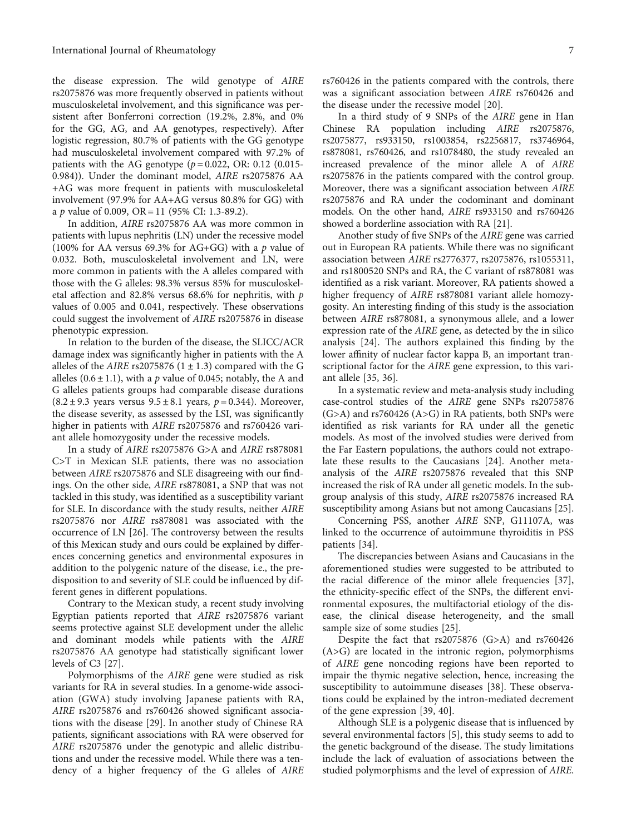the disease expression. The wild genotype of AIRE rs2075876 was more frequently observed in patients without musculoskeletal involvement, and this significance was persistent after Bonferroni correction (19.2%, 2.8%, and 0% for the GG, AG, and AA genotypes, respectively). After logistic regression, 80.7% of patients with the GG genotype had musculoskeletal involvement compared with 97.2% of patients with the AG genotype  $(p = 0.022, \text{ OR: } 0.12, (0.015 -$ 0.984)). Under the dominant model, AIRE rs2075876 AA +AG was more frequent in patients with musculoskeletal involvement (97.9% for AA+AG versus 80.8% for GG) with a *p* value of 0.009, OR = 11 (95% CI: 1.3-89.2).

In addition, AIRE rs2075876 AA was more common in patients with lupus nephritis (LN) under the recessive model (100% for AA versus 69.3% for AG+GG) with a *p* value of 0.032. Both, musculoskeletal involvement and LN, were more common in patients with the A alleles compared with those with the G alleles: 98.3% versus 85% for musculoskeletal affection and 82.8% versus 68.6% for nephritis, with *p* values of 0.005 and 0.041, respectively. These observations could suggest the involvement of AIRE rs2075876 in disease phenotypic expression.

In relation to the burden of the disease, the SLICC/ACR damage index was significantly higher in patients with the A alleles of the *AIRE* rs2075876  $(1 \pm 1.3)$  compared with the G alleles  $(0.6 \pm 1.1)$ , with a *p* value of 0.045; notably, the A and G alleles patients groups had comparable disease durations  $(8.2 \pm 9.3 \text{ years} \text{ versus } 9.5 \pm 8.1 \text{ years}, p = 0.344)$ . Moreover, the disease severity, as assessed by the LSI, was significantly higher in patients with AIRE rs2075876 and rs760426 variant allele homozygosity under the recessive models.

In a study of AIRE rs2075876 G>A and AIRE rs878081 C>T in Mexican SLE patients, there was no association between AIRE rs2075876 and SLE disagreeing with our findings. On the other side, AIRE rs878081, a SNP that was not tackled in this study, was identified as a susceptibility variant for SLE. In discordance with the study results, neither AIRE rs2075876 nor AIRE rs878081 was associated with the occurrence of LN [[26\]](#page-8-0). The controversy between the results of this Mexican study and ours could be explained by differences concerning genetics and environmental exposures in addition to the polygenic nature of the disease, i.e., the predisposition to and severity of SLE could be influenced by different genes in different populations.

Contrary to the Mexican study, a recent study involving Egyptian patients reported that AIRE rs2075876 variant seems protective against SLE development under the allelic and dominant models while patients with the AIRE rs2075876 AA genotype had statistically significant lower levels of C3 [\[27\]](#page-8-0).

Polymorphisms of the AIRE gene were studied as risk variants for RA in several studies. In a genome-wide association (GWA) study involving Japanese patients with RA, AIRE rs2075876 and rs760426 showed significant associations with the disease [\[29\]](#page-8-0). In another study of Chinese RA patients, significant associations with RA were observed for AIRE rs2075876 under the genotypic and allelic distributions and under the recessive model. While there was a tendency of a higher frequency of the G alleles of AIRE rs760426 in the patients compared with the controls, there was a significant association between AIRE rs760426 and the disease under the recessive model [[20](#page-8-0)].

In a third study of 9 SNPs of the AIRE gene in Han Chinese RA population including AIRE rs2075876, rs2075877, rs933150, rs1003854, rs2256817, rs3746964, rs878081, rs760426, and rs1078480, the study revealed an increased prevalence of the minor allele A of AIRE rs2075876 in the patients compared with the control group. Moreover, there was a significant association between AIRE rs2075876 and RA under the codominant and dominant models. On the other hand, AIRE rs933150 and rs760426 showed a borderline association with RA [\[21](#page-8-0)].

Another study of five SNPs of the AIRE gene was carried out in European RA patients. While there was no significant association between AIRE rs2776377, rs2075876, rs1055311, and rs1800520 SNPs and RA, the C variant of rs878081 was identified as a risk variant. Moreover, RA patients showed a higher frequency of AIRE rs878081 variant allele homozygosity. An interesting finding of this study is the association between AIRE rs878081, a synonymous allele, and a lower expression rate of the AIRE gene, as detected by the in silico analysis [[24](#page-8-0)]. The authors explained this finding by the lower affinity of nuclear factor kappa B, an important transcriptional factor for the AIRE gene expression, to this variant allele [\[35](#page-8-0), [36\]](#page-8-0).

In a systematic review and meta-analysis study including case-control studies of the AIRE gene SNPs rs2075876 (G>A) and rs760426 (A>G) in RA patients, both SNPs were identified as risk variants for RA under all the genetic models. As most of the involved studies were derived from the Far Eastern populations, the authors could not extrapolate these results to the Caucasians [[24\]](#page-8-0). Another metaanalysis of the AIRE rs2075876 revealed that this SNP increased the risk of RA under all genetic models. In the subgroup analysis of this study, AIRE rs2075876 increased RA susceptibility among Asians but not among Caucasians [[25](#page-8-0)].

Concerning PSS, another AIRE SNP, G11107A, was linked to the occurrence of autoimmune thyroiditis in PSS patients [[34\]](#page-8-0).

The discrepancies between Asians and Caucasians in the aforementioned studies were suggested to be attributed to the racial difference of the minor allele frequencies [[37](#page-8-0)], the ethnicity-specific effect of the SNPs, the different environmental exposures, the multifactorial etiology of the disease, the clinical disease heterogeneity, and the small sample size of some studies [[25](#page-8-0)].

Despite the fact that rs2075876 (G>A) and rs760426 (A>G) are located in the intronic region, polymorphisms of AIRE gene noncoding regions have been reported to impair the thymic negative selection, hence, increasing the susceptibility to autoimmune diseases [[38\]](#page-9-0). These observations could be explained by the intron-mediated decrement of the gene expression [\[39](#page-9-0), [40\]](#page-9-0).

Although SLE is a polygenic disease that is influenced by several environmental factors [[5\]](#page-7-0), this study seems to add to the genetic background of the disease. The study limitations include the lack of evaluation of associations between the studied polymorphisms and the level of expression of AIRE.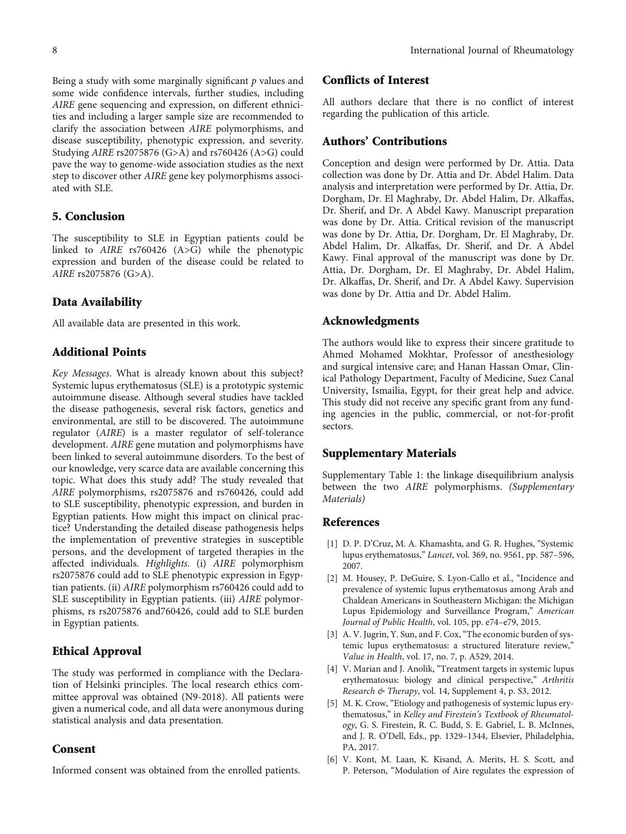<span id="page-7-0"></span>Being a study with some marginally significant *p* values and some wide confidence intervals, further studies, including AIRE gene sequencing and expression, on different ethnicities and including a larger sample size are recommended to clarify the association between AIRE polymorphisms, and disease susceptibility, phenotypic expression, and severity. Studying AIRE rs2075876 (G>A) and rs760426 (A>G) could pave the way to genome-wide association studies as the next step to discover other AIRE gene key polymorphisms associated with SLE.

#### 5. Conclusion

The susceptibility to SLE in Egyptian patients could be linked to AIRE rs760426 (A>G) while the phenotypic expression and burden of the disease could be related to AIRE rs2075876 (G>A).

#### Data Availability

All available data are presented in this work.

#### Additional Points

Key Messages. What is already known about this subject? Systemic lupus erythematosus (SLE) is a prototypic systemic autoimmune disease. Although several studies have tackled the disease pathogenesis, several risk factors, genetics and environmental, are still to be discovered. The autoimmune regulator (AIRE) is a master regulator of self-tolerance development. AIRE gene mutation and polymorphisms have been linked to several autoimmune disorders. To the best of our knowledge, very scarce data are available concerning this topic. What does this study add? The study revealed that AIRE polymorphisms, rs2075876 and rs760426, could add to SLE susceptibility, phenotypic expression, and burden in Egyptian patients. How might this impact on clinical practice? Understanding the detailed disease pathogenesis helps the implementation of preventive strategies in susceptible persons, and the development of targeted therapies in the affected individuals. Highlights. (i) AIRE polymorphism rs2075876 could add to SLE phenotypic expression in Egyptian patients. (ii) AIRE polymorphism rs760426 could add to SLE susceptibility in Egyptian patients. (iii) AIRE polymorphisms, rs rs2075876 and760426, could add to SLE burden in Egyptian patients.

## Ethical Approval

The study was performed in compliance with the Declaration of Helsinki principles. The local research ethics committee approval was obtained (N9-2018). All patients were given a numerical code, and all data were anonymous during statistical analysis and data presentation.

#### **Consent**

Informed consent was obtained from the enrolled patients.

# Conflicts of Interest

All authors declare that there is no conflict of interest regarding the publication of this article.

#### Authors' Contributions

Conception and design were performed by Dr. Attia. Data collection was done by Dr. Attia and Dr. Abdel Halim. Data analysis and interpretation were performed by Dr. Attia, Dr. Dorgham, Dr. El Maghraby, Dr. Abdel Halim, Dr. Alkaffas, Dr. Sherif, and Dr. A Abdel Kawy. Manuscript preparation was done by Dr. Attia. Critical revision of the manuscript was done by Dr. Attia, Dr. Dorgham, Dr. El Maghraby, Dr. Abdel Halim, Dr. Alkaffas, Dr. Sherif, and Dr. A Abdel Kawy. Final approval of the manuscript was done by Dr. Attia, Dr. Dorgham, Dr. El Maghraby, Dr. Abdel Halim, Dr. Alkaffas, Dr. Sherif, and Dr. A Abdel Kawy. Supervision was done by Dr. Attia and Dr. Abdel Halim.

#### Acknowledgments

The authors would like to express their sincere gratitude to Ahmed Mohamed Mokhtar, Professor of anesthesiology and surgical intensive care; and Hanan Hassan Omar, Clinical Pathology Department, Faculty of Medicine, Suez Canal University, Ismailia, Egypt, for their great help and advice. This study did not receive any specific grant from any funding agencies in the public, commercial, or not-for-profit sectors.

#### Supplementary Materials

Supplementary Table 1: the linkage disequilibrium analysis between the two AIRE polymorphisms. [\(Supplementary](https://downloads.hindawi.com/journals/ijr/2021/5546639.f1.docx) [Materials\)](https://downloads.hindawi.com/journals/ijr/2021/5546639.f1.docx)

#### References

- [1] D. P. D'Cruz, M. A. Khamashta, and G. R. Hughes, "Systemic lupus erythematosus," Lancet, vol. 369, no. 9561, pp. 587–596, 2007.
- [2] M. Housey, P. DeGuire, S. Lyon-Callo et al., "Incidence and prevalence of systemic lupus erythematosus among Arab and Chaldean Americans in Southeastern Michigan: the Michigan Lupus Epidemiology and Surveillance Program," American Journal of Public Health, vol. 105, pp. e74–e79, 2015.
- [3] A. V. Jugrin, Y. Sun, and F. Cox, "The economic burden of systemic lupus erythematosus: a structured literature review," Value in Health, vol. 17, no. 7, p. A529, 2014.
- [4] V. Marian and J. Anolik, "Treatment targets in systemic lupus erythematosus: biology and clinical perspective," Arthritis Research & Therapy, vol. 14, Supplement 4, p. S3, 2012.
- [5] M. K. Crow, "Etiology and pathogenesis of systemic lupus erythematosus," in Kelley and Firestein's Textbook of Rheumatology, G. S. Firestein, R. C. Budd, S. E. Gabriel, L. B. McInnes, and J. R. O'Dell, Eds., pp. 1329–1344, Elsevier, Philadelphia, PA, 2017.
- [6] V. Kont, M. Laan, K. Kisand, A. Merits, H. S. Scott, and P. Peterson, "Modulation of Aire regulates the expression of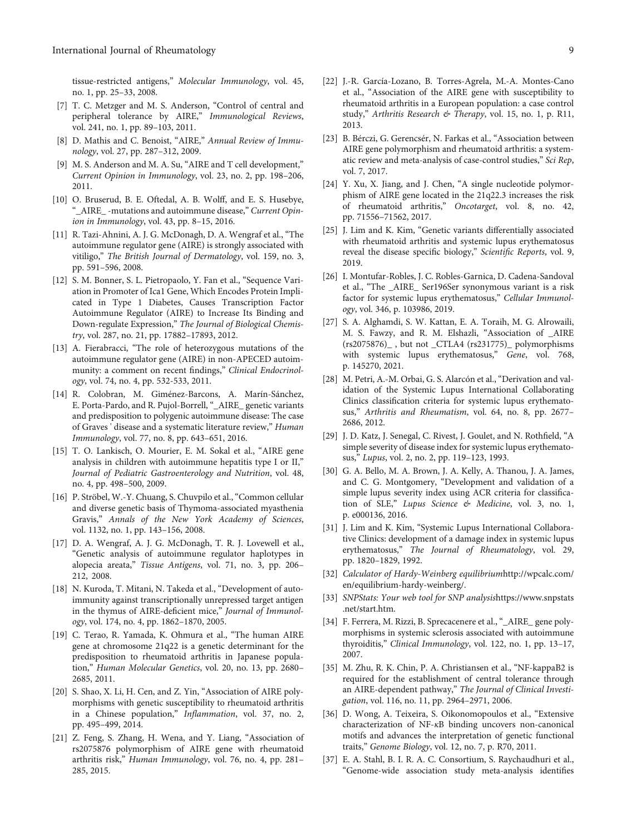<span id="page-8-0"></span>tissue-restricted antigens," Molecular Immunology, vol. 45, no. 1, pp. 25–33, 2008.

- [7] T. C. Metzger and M. S. Anderson, "Control of central and peripheral tolerance by AIRE," Immunological Reviews, vol. 241, no. 1, pp. 89–103, 2011.
- [8] D. Mathis and C. Benoist, "AIRE," Annual Review of Immunology, vol. 27, pp. 287–312, 2009.
- [9] M. S. Anderson and M. A. Su, "AIRE and T cell development," Current Opinion in Immunology, vol. 23, no. 2, pp. 198–206, 2011.
- [10] O. Bruserud, B. E. Oftedal, A. B. Wolff, and E. S. Husebye, AIRE\_-mutations and autoimmune disease," Current Opinion in Immunology, vol. 43, pp. 8–15, 2016.
- [11] R. Tazi-Ahnini, A. J. G. McDonagh, D. A. Wengraf et al., "The autoimmune regulator gene (AIRE) is strongly associated with vitiligo," The British Journal of Dermatology, vol. 159, no. 3, pp. 591–596, 2008.
- [12] S. M. Bonner, S. L. Pietropaolo, Y. Fan et al., "Sequence Variation in Promoter of Ica1 Gene, Which Encodes Protein Implicated in Type 1 Diabetes, Causes Transcription Factor Autoimmune Regulator (AIRE) to Increase Its Binding and Down-regulate Expression," The Journal of Biological Chemistry, vol. 287, no. 21, pp. 17882–17893, 2012.
- [13] A. Fierabracci, "The role of heterozygous mutations of the autoimmune regulator gene (AIRE) in non-APECED autoimmunity: a comment on recent findings," Clinical Endocrinology, vol. 74, no. 4, pp. 532-533, 2011.
- [14] R. Colobran, M. Giménez-Barcons, A. Marín-Sánchez, E. Porta-Pardo, and R. Pujol-Borrell, "\_AIRE\_ genetic variants and predisposition to polygenic autoimmune disease: The case of Graves ' disease and a systematic literature review," Human Immunology, vol. 77, no. 8, pp. 643–651, 2016.
- [15] T. O. Lankisch, O. Mourier, E. M. Sokal et al., "AIRE gene analysis in children with autoimmune hepatitis type I or II," Journal of Pediatric Gastroenterology and Nutrition, vol. 48, no. 4, pp. 498–500, 2009.
- [16] P. Ströbel, W.-Y. Chuang, S. Chuvpilo et al., "Common cellular and diverse genetic basis of Thymoma-associated myasthenia Gravis," Annals of the New York Academy of Sciences, vol. 1132, no. 1, pp. 143–156, 2008.
- [17] D. A. Wengraf, A. J. G. McDonagh, T. R. J. Lovewell et al., "Genetic analysis of autoimmune regulator haplotypes in alopecia areata," Tissue Antigens, vol. 71, no. 3, pp. 206– 212, 2008.
- [18] N. Kuroda, T. Mitani, N. Takeda et al., "Development of autoimmunity against transcriptionally unrepressed target antigen in the thymus of AIRE-deficient mice," Journal of Immunology, vol. 174, no. 4, pp. 1862–1870, 2005.
- [19] C. Terao, R. Yamada, K. Ohmura et al., "The human AIRE gene at chromosome 21q22 is a genetic determinant for the predisposition to rheumatoid arthritis in Japanese population," Human Molecular Genetics, vol. 20, no. 13, pp. 2680– 2685, 2011.
- [20] S. Shao, X. Li, H. Cen, and Z. Yin, "Association of AIRE polymorphisms with genetic susceptibility to rheumatoid arthritis in a Chinese population," Inflammation, vol. 37, no. 2, pp. 495–499, 2014.
- [21] Z. Feng, S. Zhang, H. Wena, and Y. Liang, "Association of rs2075876 polymorphism of AIRE gene with rheumatoid arthritis risk," Human Immunology, vol. 76, no. 4, pp. 281– 285, 2015.
- [22] J.-R. García-Lozano, B. Torres-Agrela, M.-A. Montes-Cano et al., "Association of the AIRE gene with susceptibility to rheumatoid arthritis in a European population: a case control study," Arthritis Research & Therapy, vol. 15, no. 1, p. R11, 2013.
- [23] B. Bérczi, G. Gerencsér, N. Farkas et al., "Association between AIRE gene polymorphism and rheumatoid arthritis: a systematic review and meta-analysis of case-control studies," Sci Rep, vol. 7, 2017.
- [24] Y. Xu, X. Jiang, and J. Chen, "A single nucleotide polymorphism of AIRE gene located in the 21q22.3 increases the risk of rheumatoid arthritis," Oncotarget, vol. 8, no. 42, pp. 71556–71562, 2017.
- [25] J. Lim and K. Kim, "Genetic variants differentially associated with rheumatoid arthritis and systemic lupus erythematosus reveal the disease specific biology," Scientific Reports, vol. 9, 2019.
- [26] I. Montufar-Robles, J. C. Robles-Garnica, D. Cadena-Sandoval et al., "The \_AIRE\_ Ser196Ser synonymous variant is a risk factor for systemic lupus erythematosus," Cellular Immunology, vol. 346, p. 103986, 2019.
- [27] S. A. Alghamdi, S. W. Kattan, E. A. Toraih, M. G. Alrowaili, M. S. Fawzy, and R. M. Elshazli, "Association of \_AIRE (rs2075876)\_ , but not \_CTLA4 (rs231775)\_ polymorphisms with systemic lupus erythematosus," Gene, vol. 768, p. 145270, 2021.
- [28] M. Petri, A.-M. Orbai, G. S. Alarcón et al., "Derivation and validation of the Systemic Lupus International Collaborating Clinics classification criteria for systemic lupus erythematosus," Arthritis and Rheumatism, vol. 64, no. 8, pp. 2677– 2686, 2012.
- [29] J. D. Katz, J. Senegal, C. Rivest, J. Goulet, and N. Rothfield, "A simple severity of disease index for systemic lupus erythematosus," Lupus, vol. 2, no. 2, pp. 119–123, 1993.
- [30] G. A. Bello, M. A. Brown, J. A. Kelly, A. Thanou, J. A. James, and C. G. Montgomery, "Development and validation of a simple lupus severity index using ACR criteria for classification of SLE," Lupus Science & Medicine, vol. 3, no. 1, p. e000136, 2016.
- [31] J. Lim and K. Kim, "Systemic Lupus International Collaborative Clinics: development of a damage index in systemic lupus erythematosus," The Journal of Rheumatology, vol. 29, pp. 1820–1829, 1992.
- [32] Calculator of Hardy-Weinberg equilibrium[http://wpcalc.com/](http://wpcalc.com/en/equilibrium-hardy-weinberg/) [en/equilibrium-hardy-weinberg/.](http://wpcalc.com/en/equilibrium-hardy-weinberg/)
- [33] SNPStats: Your web tool for SNP analysis[https://www.snpstats](https://www.snpstats.net/start.htm) [.net/start.htm](https://www.snpstats.net/start.htm).
- [34] F. Ferrera, M. Rizzi, B. Sprecacenere et al., "\_AIRE\_ gene polymorphisms in systemic sclerosis associated with autoimmune thyroiditis," Clinical Immunology, vol. 122, no. 1, pp. 13–17, 2007.
- [35] M. Zhu, R. K. Chin, P. A. Christiansen et al., "NF-kappaB2 is required for the establishment of central tolerance through an AIRE-dependent pathway," The Journal of Clinical Investigation, vol. 116, no. 11, pp. 2964–2971, 2006.
- [36] D. Wong, A. Teixeira, S. Oikonomopoulos et al., "Extensive characterization of NF-*κ*B binding uncovers non-canonical motifs and advances the interpretation of genetic functional traits," Genome Biology, vol. 12, no. 7, p. R70, 2011.
- [37] E. A. Stahl, B. I. R. A. C. Consortium, S. Raychaudhuri et al., "Genome-wide association study meta-analysis identifies